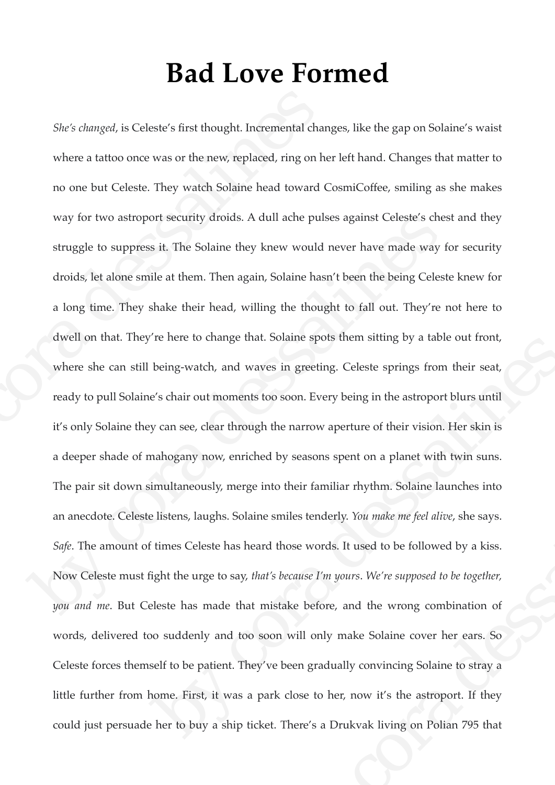## **Bad Love Formed**

*She's changed*, is Celeste's first thought. Incremental changes, like the gap on Solaine's waist where a tattoo once was or the new, replaced, ring on her left hand. Changes that matter to no one but Celeste. They watch Solaine head toward CosmiCoffee, smiling as she makes way for two astroport security droids. A dull ache pulses against Celeste's chest and they struggle to suppress it. The Solaine they knew would never have made way for security droids, let alone smile at them. Then again, Solaine hasn't been the being Celeste knew for a long time. They shake their head, willing the thought to fall out. They're not here to dwell on that. They're here to change that. Solaine spots them sitting by a table out front, where she can still being-watch, and waves in greeting. Celeste springs from their seat, ready to pull Solaine's chair out moments too soon. Every being in the astroport blurs until it's only Solaine they can see, clear through the narrow aperture of their vision. Her skin is a deeper shade of mahogany now, enriched by seasons spent on a planet with twin suns. The pair sit down simultaneously, merge into their familiar rhythm. Solaine launches into an anecdote. Celeste listens, laughs. Solaine smiles tenderly. *You make me feel alive*, she says. *Safe*. The amount of times Celeste has heard those words. It used to be followed by a kiss. Now Celeste must fight the urge to say, *that's because I'm yours*. *We're supposed to be together, you and me*. But Celeste has made that mistake before, and the wrong combination of words, delivered too suddenly and too soon will only make Solaine cover her ears. So Celeste forces themself to be patient. They've been gradually convincing Solaine to stray a little further from home. First, it was a park close to her, now it's the astroport. If they could just persuade her to buy a ship ticket. There's a Drukvak living on Polian 795 that She's changed, is Celeste's first thought. Incremental changed where a tattoo once was or the new, replaced, ring on he no one but Celeste. They watch Solaine head toward C way for two astroport security droids. A dull ach way for two astroport security droids. A dull ache pulses against Celeste's chest<br>struggle to suppress it. The Solaine they knew would never have made way for<br>droids, let alone smile at them. Then again, Solaine hasn't be re nere to change that. Solaine spots them sitting by a table out front,<br>being-watch, and waves in greeting. Celeste springs from their seat,<br>e's chair out moments too soon. Every being in the astroport blurs until<br>y can s by seasons spent on a planet meth mini-state.<br>
to their familiar rhythm. Solaine launches into<br>
smiles tenderly. You make me feel alive, she says.<br>
those words. It used to be followed by a kiss.<br>
shecause I'm yours. We're